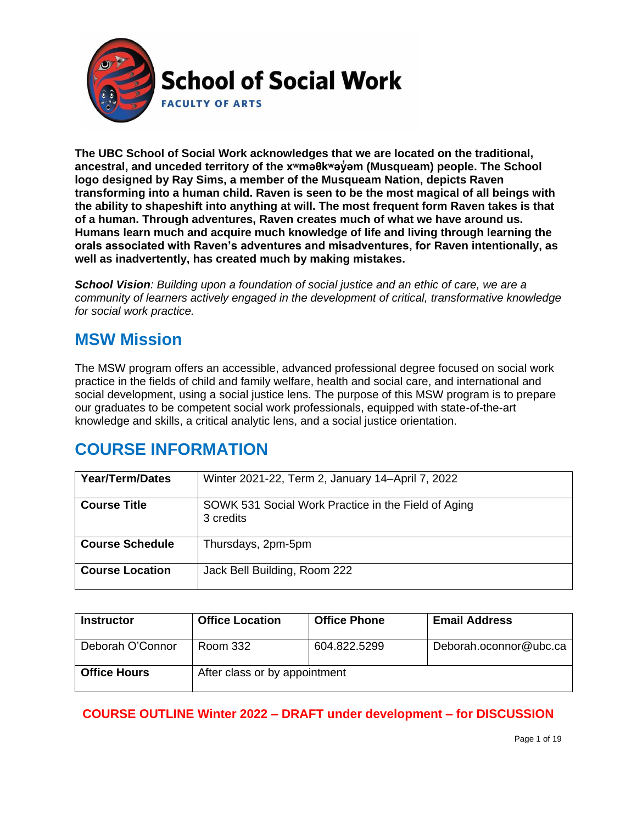

**The UBC School of Social Work acknowledges that we are located on the traditional, ancestral, and unceded territory of the [xʷməθkʷəy̓əm](http://www.musqueam.bc.ca/) (Musqueam) people. The School logo designed by Ray Sims, a member of the Musqueam Nation, depicts Raven transforming into a human child. Raven is seen to be the most magical of all beings with the ability to shapeshift into anything at will. The most frequent form Raven takes is that of a human. Through adventures, Raven creates much of what we have around us. Humans learn much and acquire much knowledge of life and living through learning the orals associated with Raven's adventures and misadventures, for Raven intentionally, as well as inadvertently, has created much by making mistakes.**

*School Vision: Building upon a foundation of social justice and an ethic of care, we are a community of learners actively engaged in the development of critical, transformative knowledge for social work practice.*

### **MSW Mission**

The MSW program offers an accessible, advanced professional degree focused on social work practice in the fields of child and family welfare, health and social care, and international and social development, using a social justice lens. The purpose of this MSW program is to prepare our graduates to be competent social work professionals, equipped with state-of-the-art knowledge and skills, a critical analytic lens, and a social justice orientation.

# **COURSE INFORMATION**

| Year/Term/Dates        | Winter 2021-22, Term 2, January 14-April 7, 2022                 |
|------------------------|------------------------------------------------------------------|
| <b>Course Title</b>    | SOWK 531 Social Work Practice in the Field of Aging<br>3 credits |
| <b>Course Schedule</b> | Thursdays, 2pm-5pm                                               |
| <b>Course Location</b> | Jack Bell Building, Room 222                                     |

| <b>Instructor</b>   | <b>Office Location</b>        | <b>Office Phone</b> | <b>Email Address</b>   |
|---------------------|-------------------------------|---------------------|------------------------|
| Deborah O'Connor    | Room 332                      | 604.822.5299        | Deborah.oconnor@ubc.ca |
| <b>Office Hours</b> | After class or by appointment |                     |                        |

**COURSE OUTLINE Winter 2022 – DRAFT under development – for DISCUSSION**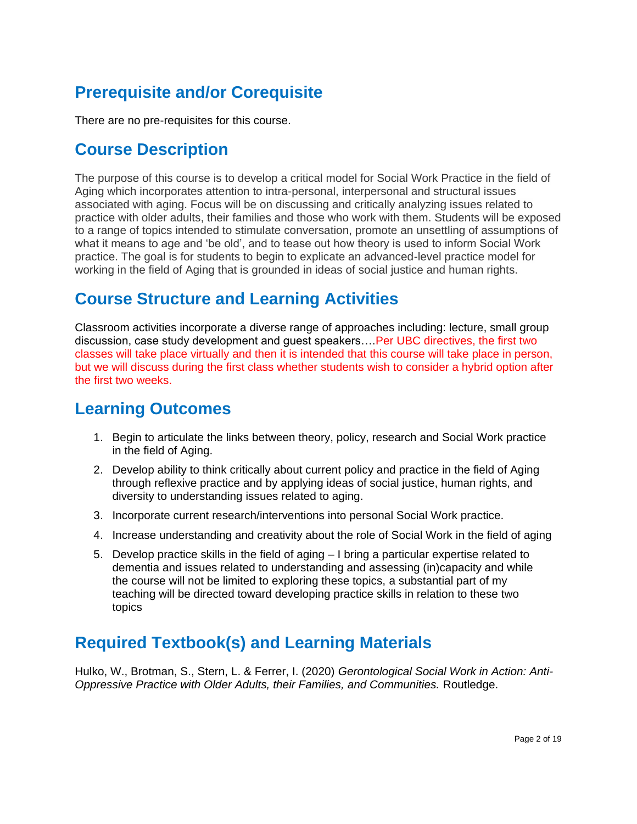# **Prerequisite and/or Corequisite**

There are no pre-requisites for this course.

### **Course Description**

The purpose of this course is to develop a critical model for Social Work Practice in the field of Aging which incorporates attention to intra-personal, interpersonal and structural issues associated with aging. Focus will be on discussing and critically analyzing issues related to practice with older adults, their families and those who work with them. Students will be exposed to a range of topics intended to stimulate conversation, promote an unsettling of assumptions of what it means to age and 'be old', and to tease out how theory is used to inform Social Work practice. The goal is for students to begin to explicate an advanced-level practice model for working in the field of Aging that is grounded in ideas of social justice and human rights.

### **Course Structure and Learning Activities**

Classroom activities incorporate a diverse range of approaches including: lecture, small group discussion, case study development and guest speakers….Per UBC directives, the first two classes will take place virtually and then it is intended that this course will take place in person, but we will discuss during the first class whether students wish to consider a hybrid option after the first two weeks.

# **Learning Outcomes**

- 1. Begin to articulate the links between theory, policy, research and Social Work practice in the field of Aging.
- 2. Develop ability to think critically about current policy and practice in the field of Aging through reflexive practice and by applying ideas of social justice, human rights, and diversity to understanding issues related to aging.
- 3. Incorporate current research/interventions into personal Social Work practice.
- 4. Increase understanding and creativity about the role of Social Work in the field of aging
- 5. Develop practice skills in the field of aging I bring a particular expertise related to dementia and issues related to understanding and assessing (in)capacity and while the course will not be limited to exploring these topics, a substantial part of my teaching will be directed toward developing practice skills in relation to these two topics

## **Required Textbook(s) and Learning Materials**

Hulko, W., Brotman, S., Stern, L. & Ferrer, I. (2020) *Gerontological Social Work in Action: Anti-Oppressive Practice with Older Adults, their Families, and Communities.* Routledge.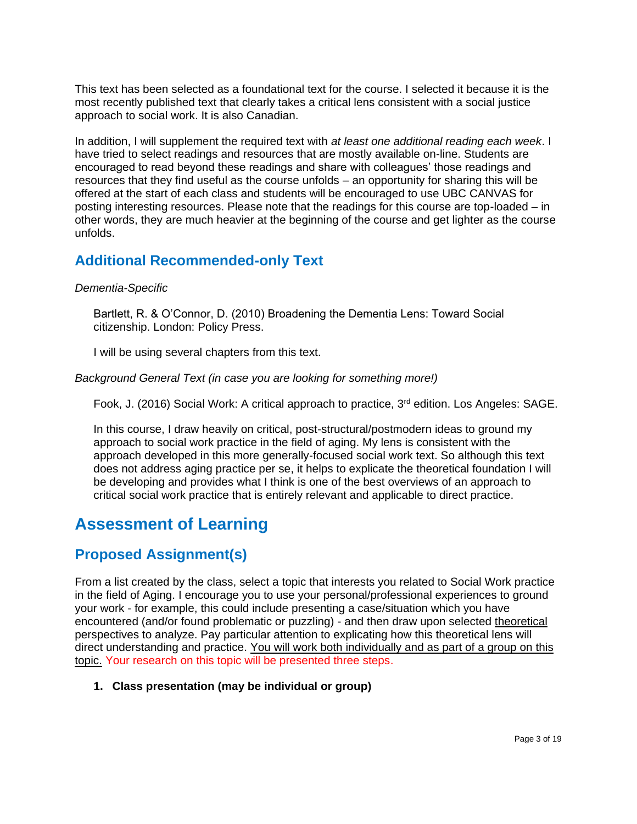This text has been selected as a foundational text for the course. I selected it because it is the most recently published text that clearly takes a critical lens consistent with a social justice approach to social work. It is also Canadian.

In addition, I will supplement the required text with *at least one additional reading each week*. I have tried to select readings and resources that are mostly available on-line. Students are encouraged to read beyond these readings and share with colleagues' those readings and resources that they find useful as the course unfolds – an opportunity for sharing this will be offered at the start of each class and students will be encouraged to use UBC CANVAS for posting interesting resources. Please note that the readings for this course are top-loaded – in other words, they are much heavier at the beginning of the course and get lighter as the course unfolds.

### **Additional Recommended-only Text**

#### *Dementia-Specific*

Bartlett, R. & O'Connor, D. (2010) Broadening the Dementia Lens: Toward Social citizenship. London: Policy Press.

I will be using several chapters from this text.

#### *Background General Text (in case you are looking for something more!)*

Fook, J. (2016) Social Work: A critical approach to practice,  $3<sup>rd</sup>$  edition. Los Angeles: SAGE.

In this course, I draw heavily on critical, post-structural/postmodern ideas to ground my approach to social work practice in the field of aging. My lens is consistent with the approach developed in this more generally-focused social work text. So although this text does not address aging practice per se, it helps to explicate the theoretical foundation I will be developing and provides what I think is one of the best overviews of an approach to critical social work practice that is entirely relevant and applicable to direct practice.

## **Assessment of Learning**

### **Proposed Assignment(s)**

From a list created by the class, select a topic that interests you related to Social Work practice in the field of Aging. I encourage you to use your personal/professional experiences to ground your work - for example, this could include presenting a case/situation which you have encountered (and/or found problematic or puzzling) - and then draw upon selected theoretical perspectives to analyze. Pay particular attention to explicating how this theoretical lens will direct understanding and practice. You will work both individually and as part of a group on this topic. Your research on this topic will be presented three steps.

### **1. Class presentation (may be individual or group)**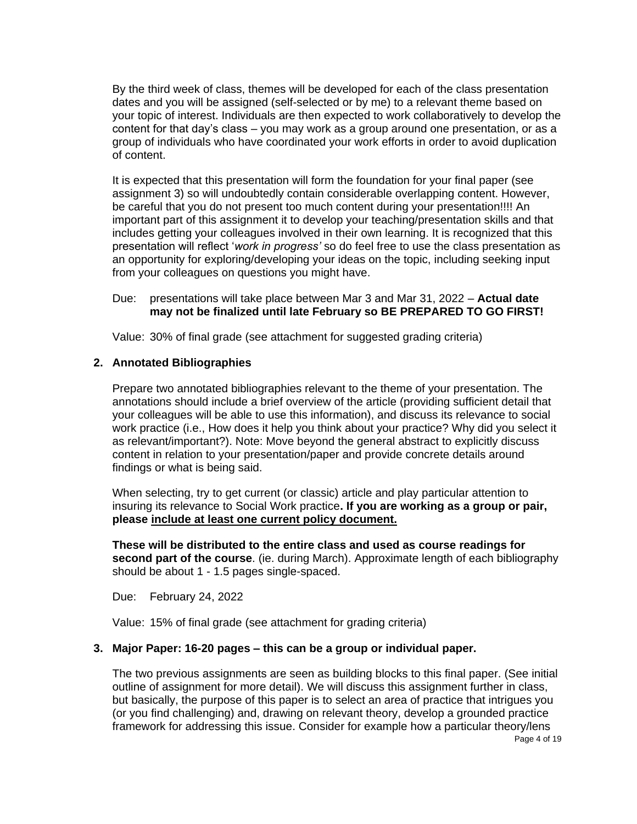By the third week of class, themes will be developed for each of the class presentation dates and you will be assigned (self-selected or by me) to a relevant theme based on your topic of interest. Individuals are then expected to work collaboratively to develop the content for that day's class – you may work as a group around one presentation, or as a group of individuals who have coordinated your work efforts in order to avoid duplication of content.

It is expected that this presentation will form the foundation for your final paper (see assignment 3) so will undoubtedly contain considerable overlapping content. However, be careful that you do not present too much content during your presentation!!!! An important part of this assignment it to develop your teaching/presentation skills and that includes getting your colleagues involved in their own learning. It is recognized that this presentation will reflect '*work in progress'* so do feel free to use the class presentation as an opportunity for exploring/developing your ideas on the topic, including seeking input from your colleagues on questions you might have.

#### Due: presentations will take place between Mar 3 and Mar 31, 2022 – **Actual date may not be finalized until late February so BE PREPARED TO GO FIRST!**

Value: 30% of final grade (see attachment for suggested grading criteria)

#### **2. Annotated Bibliographies**

Prepare two annotated bibliographies relevant to the theme of your presentation. The annotations should include a brief overview of the article (providing sufficient detail that your colleagues will be able to use this information), and discuss its relevance to social work practice (i.e., How does it help you think about your practice? Why did you select it as relevant/important?). Note: Move beyond the general abstract to explicitly discuss content in relation to your presentation/paper and provide concrete details around findings or what is being said.

When selecting, try to get current (or classic) article and play particular attention to insuring its relevance to Social Work practice**. If you are working as a group or pair, please include at least one current policy document.**

**These will be distributed to the entire class and used as course readings for second part of the course**. (ie. during March). Approximate length of each bibliography should be about 1 - 1.5 pages single-spaced.

Due: February 24, 2022

Value: 15% of final grade (see attachment for grading criteria)

#### **3. Major Paper: 16-20 pages – this can be a group or individual paper.**

The two previous assignments are seen as building blocks to this final paper. (See initial outline of assignment for more detail). We will discuss this assignment further in class, but basically, the purpose of this paper is to select an area of practice that intrigues you (or you find challenging) and, drawing on relevant theory, develop a grounded practice framework for addressing this issue. Consider for example how a particular theory/lens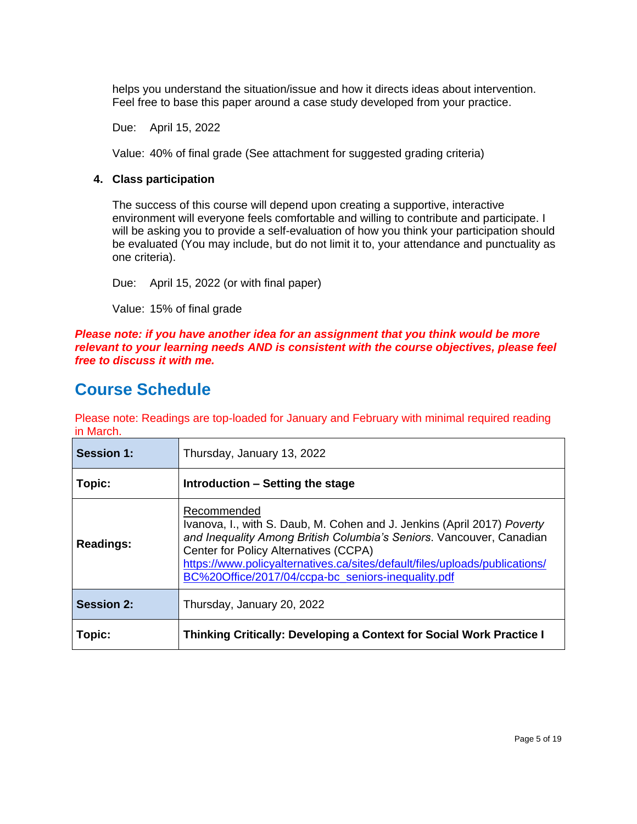helps you understand the situation/issue and how it directs ideas about intervention. Feel free to base this paper around a case study developed from your practice.

Due: April 15, 2022

Value: 40% of final grade (See attachment for suggested grading criteria)

#### **4. Class participation**

The success of this course will depend upon creating a supportive, interactive environment will everyone feels comfortable and willing to contribute and participate. I will be asking you to provide a self-evaluation of how you think your participation should be evaluated (You may include, but do not limit it to, your attendance and punctuality as one criteria).

Due: April 15, 2022 (or with final paper)

Value: 15% of final grade

*Please note: if you have another idea for an assignment that you think would be more relevant to your learning needs AND is consistent with the course objectives, please feel free to discuss it with me.*

### **Course Schedule**

Please note: Readings are top-loaded for January and February with minimal required reading in March.

| <b>Session 1:</b> | Thursday, January 13, 2022                                                                                                                                                                                                                                                                                                                   |
|-------------------|----------------------------------------------------------------------------------------------------------------------------------------------------------------------------------------------------------------------------------------------------------------------------------------------------------------------------------------------|
| Topic:            | Introduction – Setting the stage                                                                                                                                                                                                                                                                                                             |
| <b>Readings:</b>  | Recommended<br>Ivanova, I., with S. Daub, M. Cohen and J. Jenkins (April 2017) Poverty<br>and Inequality Among British Columbia's Seniors. Vancouver, Canadian<br>Center for Policy Alternatives (CCPA)<br>https://www.policyalternatives.ca/sites/default/files/uploads/publications/<br>BC%20Office/2017/04/ccpa-bc_seniors-inequality.pdf |
| <b>Session 2:</b> | Thursday, January 20, 2022                                                                                                                                                                                                                                                                                                                   |
| Topic:            | Thinking Critically: Developing a Context for Social Work Practice I                                                                                                                                                                                                                                                                         |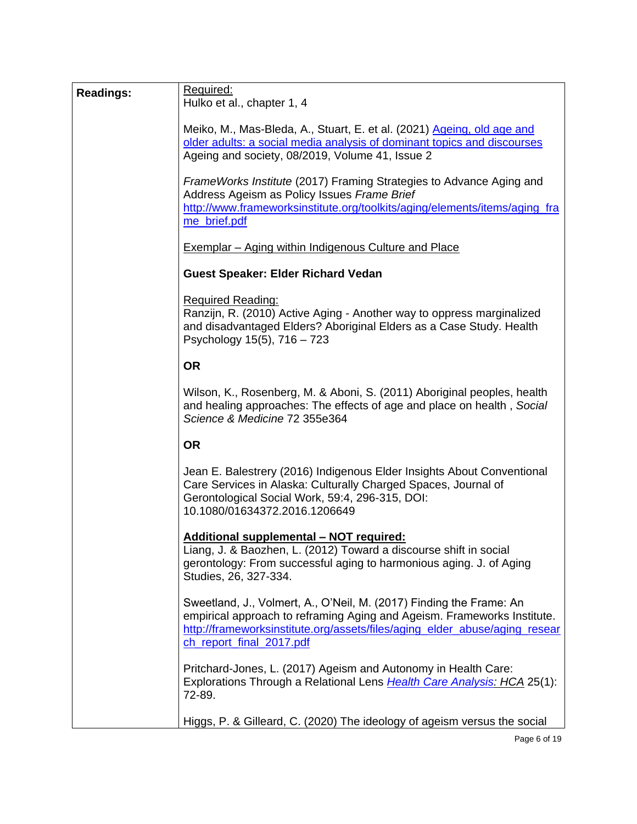| <b>Readings:</b> | Required:<br>Hulko et al., chapter 1, 4                                                                                                                                                                                                                  |
|------------------|----------------------------------------------------------------------------------------------------------------------------------------------------------------------------------------------------------------------------------------------------------|
|                  | Meiko, M., Mas-Bleda, A., Stuart, E. et al. (2021) Ageing, old age and<br>older adults: a social media analysis of dominant topics and discourses<br>Ageing and society, 08/2019, Volume 41, Issue 2                                                     |
|                  | FrameWorks Institute (2017) Framing Strategies to Advance Aging and<br>Address Ageism as Policy Issues Frame Brief<br>http://www.frameworksinstitute.org/toolkits/aging/elements/items/aging_fra<br>me_brief.pdf                                         |
|                  | <b>Exemplar</b> – Aging within Indigenous Culture and Place                                                                                                                                                                                              |
|                  | <b>Guest Speaker: Elder Richard Vedan</b>                                                                                                                                                                                                                |
|                  | <b>Required Reading:</b><br>Ranzijn, R. (2010) Active Aging - Another way to oppress marginalized<br>and disadvantaged Elders? Aboriginal Elders as a Case Study. Health<br>Psychology 15(5), 716 - 723                                                  |
|                  | <b>OR</b>                                                                                                                                                                                                                                                |
|                  | Wilson, K., Rosenberg, M. & Aboni, S. (2011) Aboriginal peoples, health<br>and healing approaches: The effects of age and place on health, Social<br>Science & Medicine 72 355e364                                                                       |
|                  | <b>OR</b>                                                                                                                                                                                                                                                |
|                  | Jean E. Balestrery (2016) Indigenous Elder Insights About Conventional<br>Care Services in Alaska: Culturally Charged Spaces, Journal of<br>Gerontological Social Work, 59:4, 296-315, DOI:<br>10.1080/01634372.2016.1206649                             |
|                  | <b>Additional supplemental - NOT required:</b><br>Liang, J. & Baozhen, L. (2012) Toward a discourse shift in social<br>gerontology: From successful aging to harmonious aging. J. of Aging<br>Studies, 26, 327-334.                                      |
|                  | Sweetland, J., Volmert, A., O'Neil, M. (2017) Finding the Frame: An<br>empirical approach to reframing Aging and Ageism. Frameworks Institute.<br>http://frameworksinstitute.org/assets/files/aging elder abuse/aging resear<br>ch report final 2017.pdf |
|                  | Pritchard-Jones, L. (2017) Ageism and Autonomy in Health Care:<br>Explorations Through a Relational Lens Health Care Analysis: HCA 25(1):<br>72-89.                                                                                                      |
|                  | Higgs, P. & Gilleard, C. (2020) The ideology of ageism versus the social                                                                                                                                                                                 |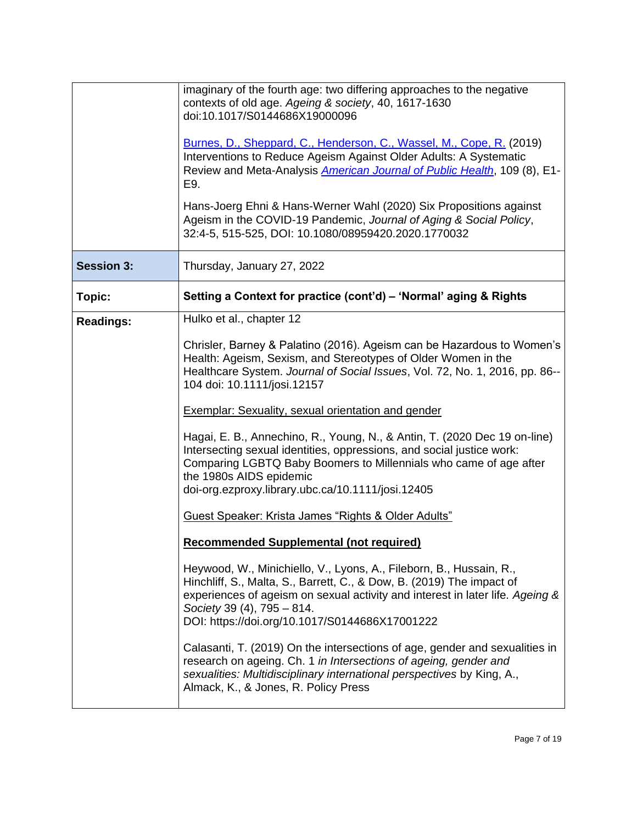|                   | imaginary of the fourth age: two differing approaches to the negative<br>contexts of old age. Ageing & society, 40, 1617-1630<br>doi:10.1017/S0144686X19000096                                                                                                                                                |
|-------------------|---------------------------------------------------------------------------------------------------------------------------------------------------------------------------------------------------------------------------------------------------------------------------------------------------------------|
|                   | Burnes, D., Sheppard, C., Henderson, C., Wassel, M., Cope, R. (2019)<br>Interventions to Reduce Ageism Against Older Adults: A Systematic<br>Review and Meta-Analysis <i>American Journal of Public Health</i> , 109 (8), E1-<br>E9.                                                                          |
|                   | Hans-Joerg Ehni & Hans-Werner Wahl (2020) Six Propositions against<br>Ageism in the COVID-19 Pandemic, Journal of Aging & Social Policy,<br>32:4-5, 515-525, DOI: 10.1080/08959420.2020.1770032                                                                                                               |
| <b>Session 3:</b> | Thursday, January 27, 2022                                                                                                                                                                                                                                                                                    |
| Topic:            | Setting a Context for practice (cont'd) – 'Normal' aging & Rights                                                                                                                                                                                                                                             |
| <b>Readings:</b>  | Hulko et al., chapter 12                                                                                                                                                                                                                                                                                      |
|                   | Chrisler, Barney & Palatino (2016). Ageism can be Hazardous to Women's<br>Health: Ageism, Sexism, and Stereotypes of Older Women in the<br>Healthcare System. Journal of Social Issues, Vol. 72, No. 1, 2016, pp. 86--<br>104 doi: 10.1111/josi.12157                                                         |
|                   | <b>Exemplar: Sexuality, sexual orientation and gender</b>                                                                                                                                                                                                                                                     |
|                   | Hagai, E. B., Annechino, R., Young, N., & Antin, T. (2020 Dec 19 on-line)<br>Intersecting sexual identities, oppressions, and social justice work:<br>Comparing LGBTQ Baby Boomers to Millennials who came of age after<br>the 1980s AIDS epidemic<br>doi-org.ezproxy.library.ubc.ca/10.1111/josi.12405       |
|                   | <b>Guest Speaker: Krista James "Rights &amp; Older Adults"</b>                                                                                                                                                                                                                                                |
|                   | <b>Recommended Supplemental (not required)</b>                                                                                                                                                                                                                                                                |
|                   | Heywood, W., Minichiello, V., Lyons, A., Fileborn, B., Hussain, R.,<br>Hinchliff, S., Malta, S., Barrett, C., & Dow, B. (2019) The impact of<br>experiences of ageism on sexual activity and interest in later life. Ageing &<br>Society 39 (4), 795 - 814.<br>DOI: https://doi.org/10.1017/S0144686X17001222 |
|                   | Calasanti, T. (2019) On the intersections of age, gender and sexualities in<br>research on ageing. Ch. 1 in Intersections of ageing, gender and<br>sexualities: Multidisciplinary international perspectives by King, A.,<br>Almack, K., & Jones, R. Policy Press                                             |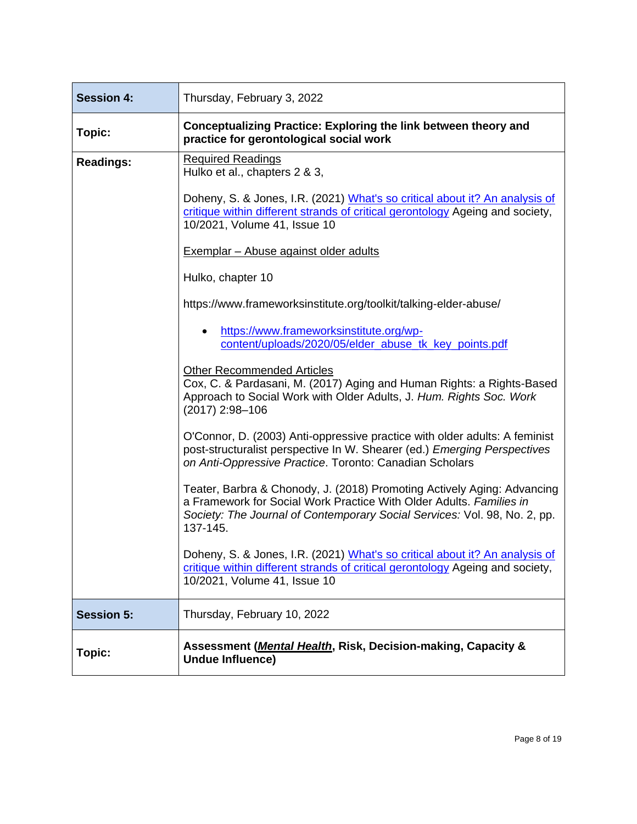| <b>Session 4:</b> | Thursday, February 3, 2022                                                                                                                                                                                                              |
|-------------------|-----------------------------------------------------------------------------------------------------------------------------------------------------------------------------------------------------------------------------------------|
| Topic:            | Conceptualizing Practice: Exploring the link between theory and<br>practice for gerontological social work                                                                                                                              |
| <b>Readings:</b>  | <b>Required Readings</b><br>Hulko et al., chapters 2 & 3,                                                                                                                                                                               |
|                   | Doheny, S. & Jones, I.R. (2021) What's so critical about it? An analysis of<br>critique within different strands of critical gerontology Ageing and society,<br>10/2021, Volume 41, Issue 10                                            |
|                   | Exemplar - Abuse against older adults                                                                                                                                                                                                   |
|                   | Hulko, chapter 10                                                                                                                                                                                                                       |
|                   | https://www.frameworksinstitute.org/toolkit/talking-elder-abuse/                                                                                                                                                                        |
|                   | https://www.frameworksinstitute.org/wp-<br>content/uploads/2020/05/elder abuse tk key points.pdf                                                                                                                                        |
|                   | <b>Other Recommended Articles</b><br>Cox, C. & Pardasani, M. (2017) Aging and Human Rights: a Rights-Based<br>Approach to Social Work with Older Adults, J. Hum. Rights Soc. Work<br>(2017) 2:98-106                                    |
|                   | O'Connor, D. (2003) Anti-oppressive practice with older adults: A feminist<br>post-structuralist perspective In W. Shearer (ed.) Emerging Perspectives<br>on Anti-Oppressive Practice. Toronto: Canadian Scholars                       |
|                   | Teater, Barbra & Chonody, J. (2018) Promoting Actively Aging: Advancing<br>a Framework for Social Work Practice With Older Adults. Families in<br>Society: The Journal of Contemporary Social Services: Vol. 98, No. 2, pp.<br>137-145. |
|                   | Doheny, S. & Jones, I.R. (2021) What's so critical about it? An analysis of<br>critique within different strands of critical gerontology Ageing and society,<br>10/2021, Volume 41, Issue 10                                            |
| <b>Session 5:</b> | Thursday, February 10, 2022                                                                                                                                                                                                             |
| Topic:            | Assessment ( <i>Mental Health</i> , Risk, Decision-making, Capacity &<br><b>Undue Influence)</b>                                                                                                                                        |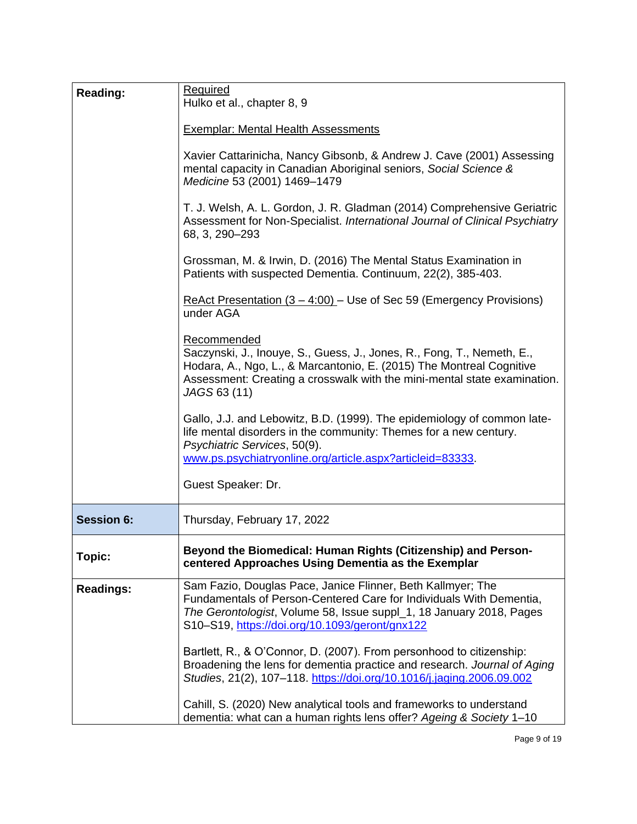| <b>Reading:</b>   | <b>Required</b><br>Hulko et al., chapter 8, 9                                                                                                                                                                                                               |
|-------------------|-------------------------------------------------------------------------------------------------------------------------------------------------------------------------------------------------------------------------------------------------------------|
|                   | <b>Exemplar: Mental Health Assessments</b>                                                                                                                                                                                                                  |
|                   | Xavier Cattarinicha, Nancy Gibsonb, & Andrew J. Cave (2001) Assessing<br>mental capacity in Canadian Aboriginal seniors, Social Science &<br>Medicine 53 (2001) 1469-1479                                                                                   |
|                   | T. J. Welsh, A. L. Gordon, J. R. Gladman (2014) Comprehensive Geriatric<br>Assessment for Non-Specialist. International Journal of Clinical Psychiatry<br>68, 3, 290-293                                                                                    |
|                   | Grossman, M. & Irwin, D. (2016) The Mental Status Examination in<br>Patients with suspected Dementia. Continuum, 22(2), 385-403.                                                                                                                            |
|                   | ReAct Presentation $(3 - 4.00)$ – Use of Sec 59 (Emergency Provisions)<br>under AGA                                                                                                                                                                         |
|                   | Recommended<br>Saczynski, J., Inouye, S., Guess, J., Jones, R., Fong, T., Nemeth, E.,<br>Hodara, A., Ngo, L., & Marcantonio, E. (2015) The Montreal Cognitive<br>Assessment: Creating a crosswalk with the mini-mental state examination.<br>JAGS 63 (11)   |
|                   | Gallo, J.J. and Lebowitz, B.D. (1999). The epidemiology of common late-<br>life mental disorders in the community: Themes for a new century.<br>Psychiatric Services, 50(9).<br>www.ps.psychiatryonline.org/article.aspx?articleid=83333.                   |
|                   | Guest Speaker: Dr.                                                                                                                                                                                                                                          |
| <b>Session 6:</b> | Thursday, February 17, 2022                                                                                                                                                                                                                                 |
| Topic:            | Beyond the Biomedical: Human Rights (Citizenship) and Person-<br>centered Approaches Using Dementia as the Exemplar                                                                                                                                         |
| <b>Readings:</b>  | Sam Fazio, Douglas Pace, Janice Flinner, Beth Kallmyer; The<br>Fundamentals of Person-Centered Care for Individuals With Dementia,<br>The Gerontologist, Volume 58, Issue suppl_1, 18 January 2018, Pages<br>S10-S19, https://doi.org/10.1093/geront/gnx122 |
|                   | Bartlett, R., & O'Connor, D. (2007). From personhood to citizenship:<br>Broadening the lens for dementia practice and research. Journal of Aging<br>Studies, 21(2), 107-118. https://doi.org/10.1016/j.jaging.2006.09.002                                   |
|                   | Cahill, S. (2020) New analytical tools and frameworks to understand<br>dementia: what can a human rights lens offer? Ageing & Society 1-10                                                                                                                  |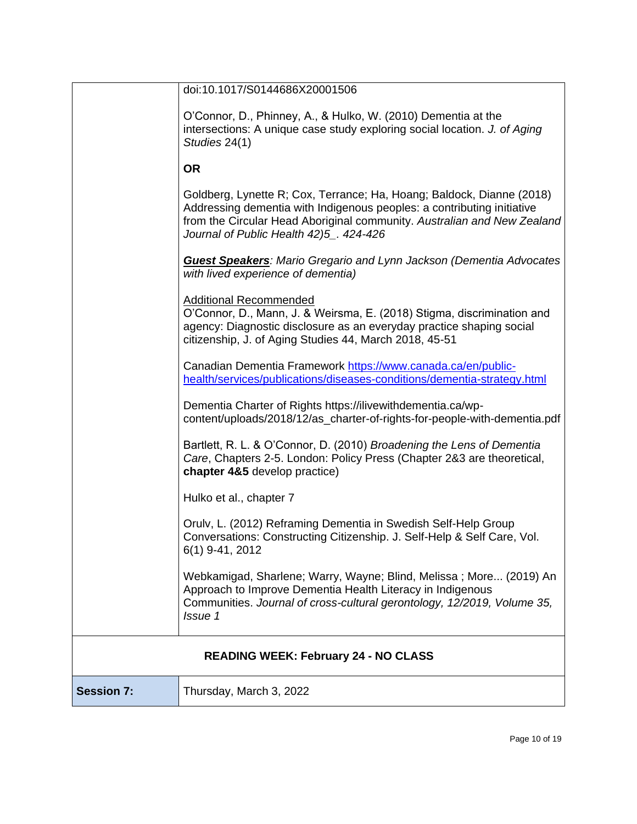|                   | doi:10.1017/S0144686X20001506                                                                                                                                                                                                                                         |  |
|-------------------|-----------------------------------------------------------------------------------------------------------------------------------------------------------------------------------------------------------------------------------------------------------------------|--|
|                   | O'Connor, D., Phinney, A., & Hulko, W. (2010) Dementia at the<br>intersections: A unique case study exploring social location. J. of Aging<br>Studies 24(1)                                                                                                           |  |
|                   | <b>OR</b>                                                                                                                                                                                                                                                             |  |
|                   | Goldberg, Lynette R; Cox, Terrance; Ha, Hoang; Baldock, Dianne (2018)<br>Addressing dementia with Indigenous peoples: a contributing initiative<br>from the Circular Head Aboriginal community. Australian and New Zealand<br>Journal of Public Health 42)5_. 424-426 |  |
|                   | <b>Guest Speakers:</b> Mario Gregario and Lynn Jackson (Dementia Advocates<br>with lived experience of dementia)                                                                                                                                                      |  |
|                   | <b>Additional Recommended</b><br>O'Connor, D., Mann, J. & Weirsma, E. (2018) Stigma, discrimination and<br>agency: Diagnostic disclosure as an everyday practice shaping social<br>citizenship, J. of Aging Studies 44, March 2018, 45-51                             |  |
|                   | Canadian Dementia Framework https://www.canada.ca/en/public-<br>health/services/publications/diseases-conditions/dementia-strategy.html                                                                                                                               |  |
|                   | Dementia Charter of Rights https://ilivewithdementia.ca/wp-<br>content/uploads/2018/12/as_charter-of-rights-for-people-with-dementia.pdf                                                                                                                              |  |
|                   | Bartlett, R. L. & O'Connor, D. (2010) Broadening the Lens of Dementia<br>Care, Chapters 2-5. London: Policy Press (Chapter 2&3 are theoretical,<br>chapter 4&5 develop practice)                                                                                      |  |
|                   | Hulko et al., chapter 7                                                                                                                                                                                                                                               |  |
|                   | Orulv, L. (2012) Reframing Dementia in Swedish Self-Help Group<br>Conversations: Constructing Citizenship. J. Self-Help & Self Care, Vol.<br>6(1) 9-41, 2012                                                                                                          |  |
|                   | Webkamigad, Sharlene; Warry, Wayne; Blind, Melissa; More (2019) An<br>Approach to Improve Dementia Health Literacy in Indigenous<br>Communities. Journal of cross-cultural gerontology, 12/2019, Volume 35,<br>Issue 1                                                |  |
|                   | <b>READING WEEK: February 24 - NO CLASS</b>                                                                                                                                                                                                                           |  |
| <b>Session 7:</b> | Thursday, March 3, 2022                                                                                                                                                                                                                                               |  |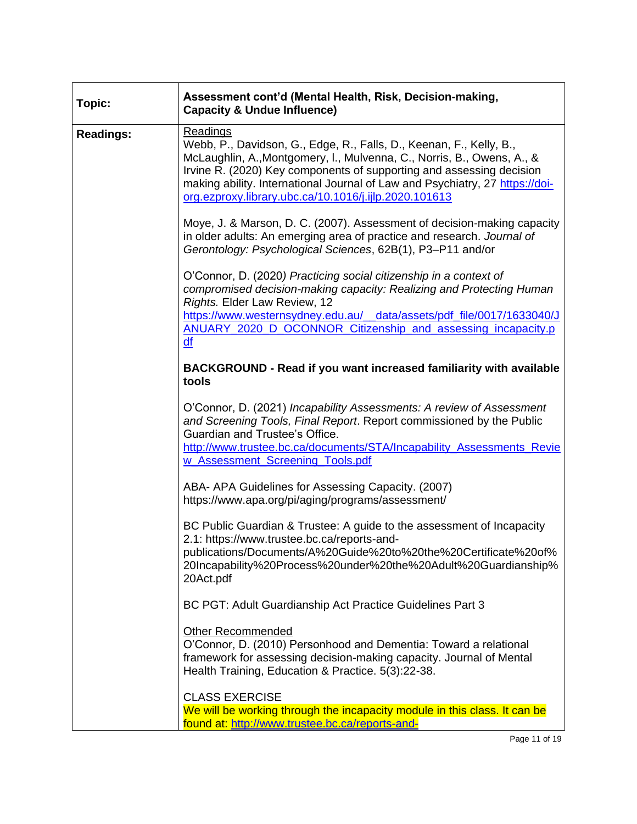| Topic:           | Assessment cont'd (Mental Health, Risk, Decision-making,<br><b>Capacity &amp; Undue Influence)</b>                                                                                                                                                                                                                                                                                                                                                           |
|------------------|--------------------------------------------------------------------------------------------------------------------------------------------------------------------------------------------------------------------------------------------------------------------------------------------------------------------------------------------------------------------------------------------------------------------------------------------------------------|
| <b>Readings:</b> | <b>Readings</b><br>Webb, P., Davidson, G., Edge, R., Falls, D., Keenan, F., Kelly, B.,<br>McLaughlin, A., Montgomery, I., Mulvenna, C., Norris, B., Owens, A., &<br>Irvine R. (2020) Key components of supporting and assessing decision<br>making ability. International Journal of Law and Psychiatry, 27 https://doi-<br>org.ezproxy.library.ubc.ca/10.1016/j.ijlp.2020.101613<br>Moye, J. & Marson, D. C. (2007). Assessment of decision-making capacity |
|                  | in older adults: An emerging area of practice and research. Journal of<br>Gerontology: Psychological Sciences, 62B(1), P3-P11 and/or                                                                                                                                                                                                                                                                                                                         |
|                  | O'Connor, D. (2020) Practicing social citizenship in a context of<br>compromised decision-making capacity: Realizing and Protecting Human<br>Rights. Elder Law Review, 12                                                                                                                                                                                                                                                                                    |
|                  | https://www.westernsydney.edu.au/ data/assets/pdf file/0017/1633040/J<br>ANUARY 2020 D OCONNOR Citizenship and assessing incapacity.p<br>df                                                                                                                                                                                                                                                                                                                  |
|                  | <b>BACKGROUND - Read if you want increased familiarity with available</b><br>tools                                                                                                                                                                                                                                                                                                                                                                           |
|                  | O'Connor, D. (2021) Incapability Assessments: A review of Assessment<br>and Screening Tools, Final Report. Report commissioned by the Public<br>Guardian and Trustee's Office.<br>http://www.trustee.bc.ca/documents/STA/Incapability_Assessments_Revie<br>w Assessment Screening Tools.pdf                                                                                                                                                                  |
|                  | ABA- APA Guidelines for Assessing Capacity. (2007)<br>https://www.apa.org/pi/aging/programs/assessment/                                                                                                                                                                                                                                                                                                                                                      |
|                  | BC Public Guardian & Trustee: A guide to the assessment of Incapacity<br>2.1: https://www.trustee.bc.ca/reports-and-<br>publications/Documents/A%20Guide%20to%20the%20Certificate%20of%<br>20Incapability%20Process%20under%20the%20Adult%20Guardianship%<br>20Act.pdf                                                                                                                                                                                       |
|                  | BC PGT: Adult Guardianship Act Practice Guidelines Part 3                                                                                                                                                                                                                                                                                                                                                                                                    |
|                  | <b>Other Recommended</b><br>O'Connor, D. (2010) Personhood and Dementia: Toward a relational<br>framework for assessing decision-making capacity. Journal of Mental<br>Health Training, Education & Practice. 5(3):22-38.                                                                                                                                                                                                                                    |
|                  | <b>CLASS EXERCISE</b>                                                                                                                                                                                                                                                                                                                                                                                                                                        |
|                  | We will be working through the incapacity module in this class. It can be<br>found at: http://www.trustee.bc.ca/reports-and-                                                                                                                                                                                                                                                                                                                                 |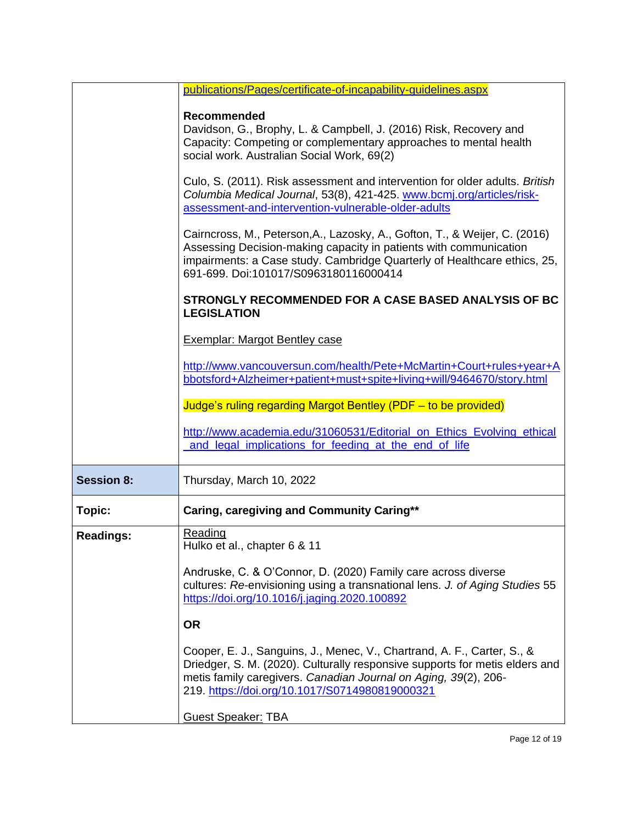|                   | publications/Pages/certificate-of-incapability-quidelines.aspx                                                                                                                                                                                                              |
|-------------------|-----------------------------------------------------------------------------------------------------------------------------------------------------------------------------------------------------------------------------------------------------------------------------|
|                   | <b>Recommended</b><br>Davidson, G., Brophy, L. & Campbell, J. (2016) Risk, Recovery and<br>Capacity: Competing or complementary approaches to mental health<br>social work. Australian Social Work, 69(2)                                                                   |
|                   | Culo, S. (2011). Risk assessment and intervention for older adults. British<br>Columbia Medical Journal, 53(8), 421-425. www.bcmj.org/articles/risk-<br>assessment-and-intervention-vulnerable-older-adults                                                                 |
|                   | Cairncross, M., Peterson, A., Lazosky, A., Gofton, T., & Weijer, C. (2016)<br>Assessing Decision-making capacity in patients with communication<br>impairments: a Case study. Cambridge Quarterly of Healthcare ethics, 25,<br>691-699. Doi:101017/S0963180116000414        |
|                   | STRONGLY RECOMMENDED FOR A CASE BASED ANALYSIS OF BC<br><b>LEGISLATION</b>                                                                                                                                                                                                  |
|                   | <b>Exemplar: Margot Bentley case</b>                                                                                                                                                                                                                                        |
|                   | http://www.vancouversun.com/health/Pete+McMartin+Court+rules+year+A<br>bbotsford+Alzheimer+patient+must+spite+living+will/9464670/story.html                                                                                                                                |
|                   | Judge's ruling regarding Margot Bentley (PDF - to be provided)                                                                                                                                                                                                              |
|                   | http://www.academia.edu/31060531/Editorial on Ethics Evolving ethical<br>and legal implications for feeding at the end of life                                                                                                                                              |
| <b>Session 8:</b> | Thursday, March 10, 2022                                                                                                                                                                                                                                                    |
| Topic:            | Caring, caregiving and Community Caring**                                                                                                                                                                                                                                   |
| <b>Readings:</b>  | Reading<br>Hulko et al., chapter 6 & 11                                                                                                                                                                                                                                     |
|                   | Andruske, C. & O'Connor, D. (2020) Family care across diverse<br>cultures: Re-envisioning using a transnational lens. J. of Aging Studies 55<br>https://doi.org/10.1016/j.jaging.2020.100892                                                                                |
|                   | <b>OR</b>                                                                                                                                                                                                                                                                   |
|                   | Cooper, E. J., Sanguins, J., Menec, V., Chartrand, A. F., Carter, S., &<br>Driedger, S. M. (2020). Culturally responsive supports for metis elders and<br>metis family caregivers. Canadian Journal on Aging, 39(2), 206-<br>219. https://doi.org/10.1017/S0714980819000321 |
|                   | <b>Guest Speaker: TBA</b>                                                                                                                                                                                                                                                   |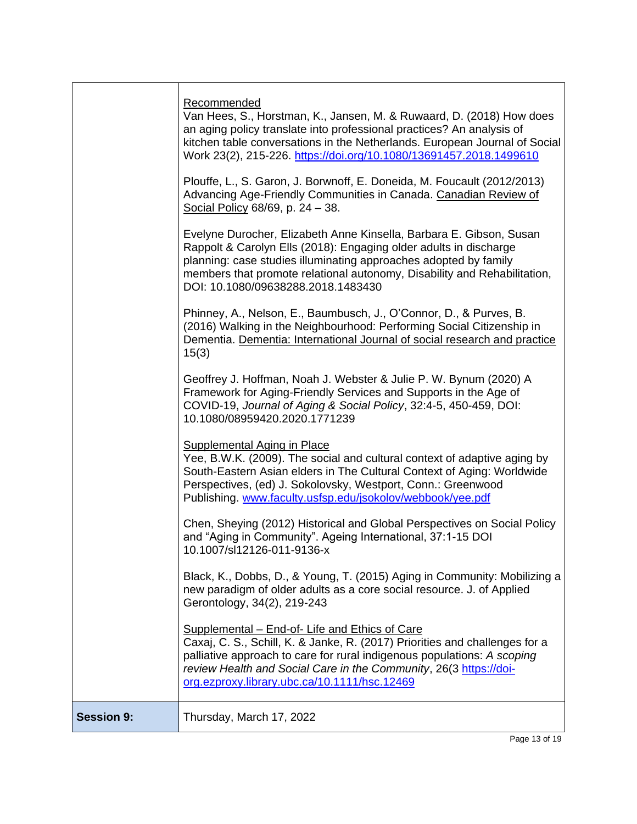|                   | Recommended<br>Van Hees, S., Horstman, K., Jansen, M. & Ruwaard, D. (2018) How does<br>an aging policy translate into professional practices? An analysis of<br>kitchen table conversations in the Netherlands. European Journal of Social<br>Work 23(2), 215-226. https://doi.org/10.1080/13691457.2018.1499610               |
|-------------------|--------------------------------------------------------------------------------------------------------------------------------------------------------------------------------------------------------------------------------------------------------------------------------------------------------------------------------|
|                   | Plouffe, L., S. Garon, J. Borwnoff, E. Doneida, M. Foucault (2012/2013)<br>Advancing Age-Friendly Communities in Canada. Canadian Review of<br>Social Policy 68/69, p. 24 - 38.                                                                                                                                                |
|                   | Evelyne Durocher, Elizabeth Anne Kinsella, Barbara E. Gibson, Susan<br>Rappolt & Carolyn Ells (2018): Engaging older adults in discharge<br>planning: case studies illuminating approaches adopted by family<br>members that promote relational autonomy, Disability and Rehabilitation,<br>DOI: 10.1080/09638288.2018.1483430 |
|                   | Phinney, A., Nelson, E., Baumbusch, J., O'Connor, D., & Purves, B.<br>(2016) Walking in the Neighbourhood: Performing Social Citizenship in<br>Dementia. Dementia: International Journal of social research and practice<br>15(3)                                                                                              |
|                   | Geoffrey J. Hoffman, Noah J. Webster & Julie P. W. Bynum (2020) A<br>Framework for Aging-Friendly Services and Supports in the Age of<br>COVID-19, Journal of Aging & Social Policy, 32:4-5, 450-459, DOI:<br>10.1080/08959420.2020.1771239                                                                                    |
|                   | <b>Supplemental Aging in Place</b><br>Yee, B.W.K. (2009). The social and cultural context of adaptive aging by<br>South-Eastern Asian elders in The Cultural Context of Aging: Worldwide<br>Perspectives, (ed) J. Sokolovsky, Westport, Conn.: Greenwood<br>Publishing. www.faculty.usfsp.edu/jsokolov/webbook/yee.pdf         |
|                   | Chen, Sheying (2012) Historical and Global Perspectives on Social Policy<br>and "Aging in Community". Ageing International, 37:1-15 DOI<br>10.1007/sl12126-011-9136-x                                                                                                                                                          |
|                   | Black, K., Dobbs, D., & Young, T. (2015) Aging in Community: Mobilizing a<br>new paradigm of older adults as a core social resource. J. of Applied<br>Gerontology, 34(2), 219-243                                                                                                                                              |
|                   | Supplemental - End-of- Life and Ethics of Care<br>Caxaj, C. S., Schill, K. & Janke, R. (2017) Priorities and challenges for a<br>palliative approach to care for rural indigenous populations: A scoping<br>review Health and Social Care in the Community, 26(3 https://doi-<br>org.ezproxy.library.ubc.ca/10.1111/hsc.12469  |
| <b>Session 9:</b> | Thursday, March 17, 2022                                                                                                                                                                                                                                                                                                       |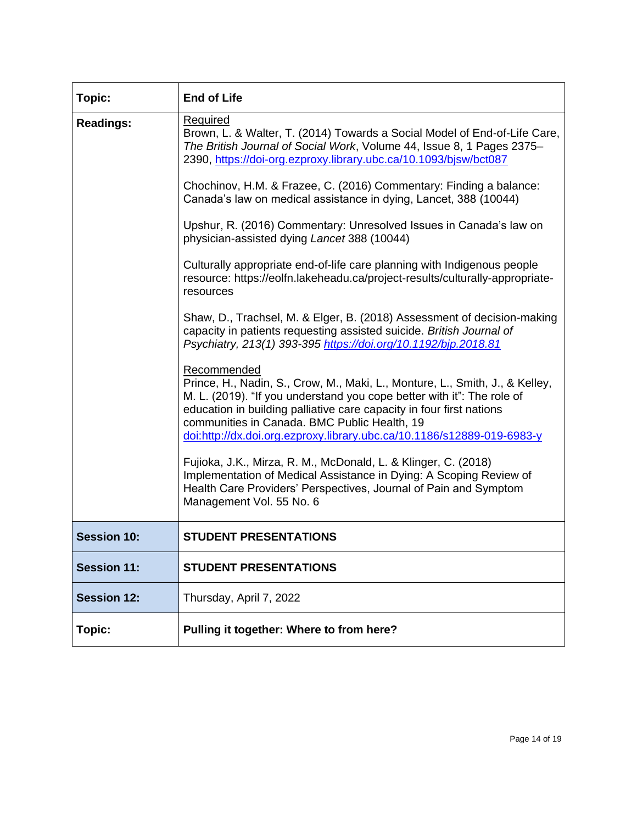| Topic:             | <b>End of Life</b>                                                                                                                                                                                                                                                                                                                                                      |
|--------------------|-------------------------------------------------------------------------------------------------------------------------------------------------------------------------------------------------------------------------------------------------------------------------------------------------------------------------------------------------------------------------|
| <b>Readings:</b>   | Required<br>Brown, L. & Walter, T. (2014) Towards a Social Model of End-of-Life Care,<br>The British Journal of Social Work, Volume 44, Issue 8, 1 Pages 2375-<br>2390, https://doi-org.ezproxy.library.ubc.ca/10.1093/bjsw/bct087                                                                                                                                      |
|                    | Chochinov, H.M. & Frazee, C. (2016) Commentary: Finding a balance:<br>Canada's law on medical assistance in dying, Lancet, 388 (10044)                                                                                                                                                                                                                                  |
|                    | Upshur, R. (2016) Commentary: Unresolved Issues in Canada's law on<br>physician-assisted dying Lancet 388 (10044)                                                                                                                                                                                                                                                       |
|                    | Culturally appropriate end-of-life care planning with Indigenous people<br>resource: https://eolfn.lakeheadu.ca/project-results/culturally-appropriate-<br>resources                                                                                                                                                                                                    |
|                    | Shaw, D., Trachsel, M. & Elger, B. (2018) Assessment of decision-making<br>capacity in patients requesting assisted suicide. British Journal of<br>Psychiatry, 213(1) 393-395 https://doi.org/10.1192/bjp.2018.81                                                                                                                                                       |
|                    | Recommended<br>Prince, H., Nadin, S., Crow, M., Maki, L., Monture, L., Smith, J., & Kelley,<br>M. L. (2019). "If you understand you cope better with it": The role of<br>education in building palliative care capacity in four first nations<br>communities in Canada. BMC Public Health, 19<br>doi:http://dx.doi.org.ezproxy.library.ubc.ca/10.1186/s12889-019-6983-y |
|                    | Fujioka, J.K., Mirza, R. M., McDonald, L. & Klinger, C. (2018)<br>Implementation of Medical Assistance in Dying: A Scoping Review of<br>Health Care Providers' Perspectives, Journal of Pain and Symptom<br>Management Vol. 55 No. 6                                                                                                                                    |
| <b>Session 10:</b> | <b>STUDENT PRESENTATIONS</b>                                                                                                                                                                                                                                                                                                                                            |
| <b>Session 11:</b> | <b>STUDENT PRESENTATIONS</b>                                                                                                                                                                                                                                                                                                                                            |
| <b>Session 12:</b> | Thursday, April 7, 2022                                                                                                                                                                                                                                                                                                                                                 |
| Topic:             | Pulling it together: Where to from here?                                                                                                                                                                                                                                                                                                                                |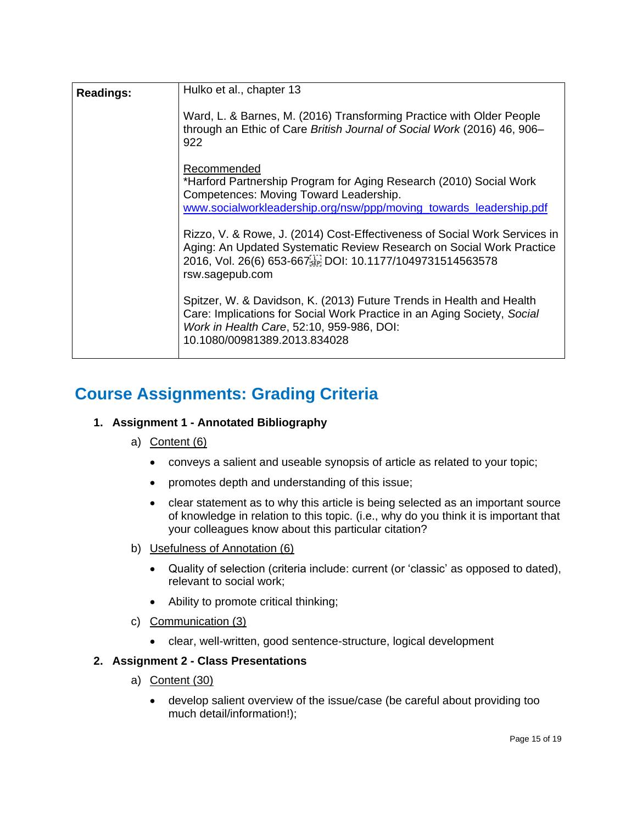| <b>Readings:</b> | Hulko et al., chapter 13                                                                                                                                                                                                          |  |  |  |
|------------------|-----------------------------------------------------------------------------------------------------------------------------------------------------------------------------------------------------------------------------------|--|--|--|
|                  | Ward, L. & Barnes, M. (2016) Transforming Practice with Older People<br>through an Ethic of Care British Journal of Social Work (2016) 46, 906-<br>922                                                                            |  |  |  |
|                  | Recommended                                                                                                                                                                                                                       |  |  |  |
|                  | *Harford Partnership Program for Aging Research (2010) Social Work<br>Competences: Moving Toward Leadership.                                                                                                                      |  |  |  |
|                  | www.socialworkleadership.org/nsw/ppp/moving_towards_leadership.pdf                                                                                                                                                                |  |  |  |
|                  | Rizzo, V. & Rowe, J. (2014) Cost-Effectiveness of Social Work Services in<br>Aging: An Updated Systematic Review Research on Social Work Practice<br>2016, Vol. 26(6) 653-667[1] DOI: 10.1177/1049731514563578<br>rsw.sagepub.com |  |  |  |
|                  | Spitzer, W. & Davidson, K. (2013) Future Trends in Health and Health<br>Care: Implications for Social Work Practice in an Aging Society, Social<br>Work in Health Care, 52:10, 959-986, DOI:<br>10.1080/00981389.2013.834028      |  |  |  |

# **Course Assignments: Grading Criteria**

### **1. Assignment 1 - Annotated Bibliography**

### a) Content (6)

- conveys a salient and useable synopsis of article as related to your topic;
- promotes depth and understanding of this issue;
- clear statement as to why this article is being selected as an important source of knowledge in relation to this topic. (i.e., why do you think it is important that your colleagues know about this particular citation?
- b) Usefulness of Annotation (6)
	- Quality of selection (criteria include: current (or 'classic' as opposed to dated), relevant to social work;
	- Ability to promote critical thinking;
- c) Communication (3)
	- clear, well-written, good sentence-structure, logical development

### **2. Assignment 2 - Class Presentations**

- a) Content (30)
	- develop salient overview of the issue/case (be careful about providing too much detail/information!);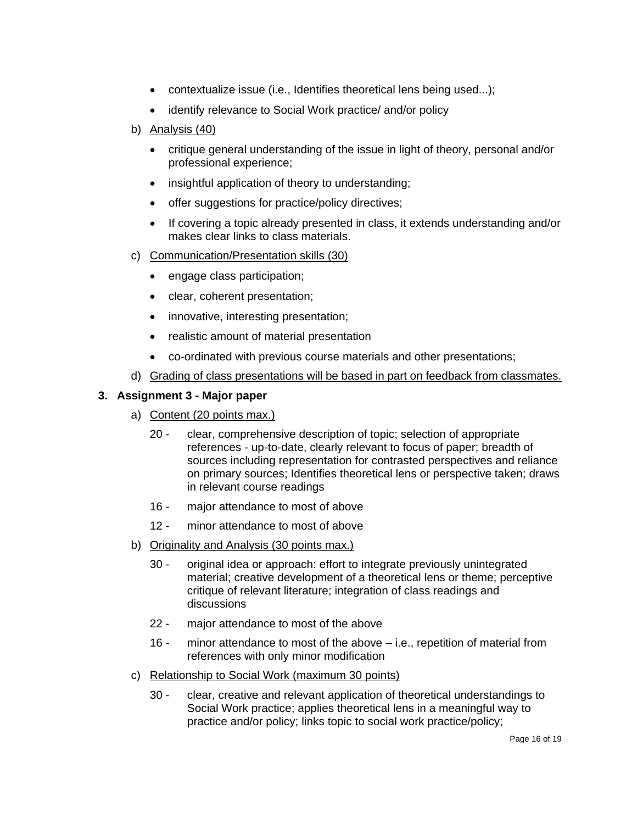- contextualize issue (i.e., Identifies theoretical lens being used...);
- identify relevance to Social Work practice/ and/or policy
- b) Analysis (40)
	- critique general understanding of the issue in light of theory, personal and/or professional experience;
	- insightful application of theory to understanding;
	- offer suggestions for practice/policy directives;
	- If covering a topic already presented in class, it extends understanding and/or makes clear links to class materials.
- c) Communication/Presentation skills (30)
	- engage class participation;
	- clear, coherent presentation;
	- innovative, interesting presentation;
	- realistic amount of material presentation
	- co-ordinated with previous course materials and other presentations;
- d) Grading of class presentations will be based in part on feedback from classmates.

#### **3. Assignment 3 - Major paper**

- a) Content (20 points max.)
	- 20 clear, comprehensive description of topic; selection of appropriate references - up-to-date, clearly relevant to focus of paper; breadth of sources including representation for contrasted perspectives and reliance on primary sources; Identifies theoretical lens or perspective taken; draws in relevant course readings
	- 16 major attendance to most of above
	- 12 minor attendance to most of above
- b) Originality and Analysis (30 points max.)
	- 30 original idea or approach: effort to integrate previously unintegrated material; creative development of a theoretical lens or theme; perceptive critique of relevant literature; integration of class readings and discussions
	- 22 major attendance to most of the above
	- 16 minor attendance to most of the above i.e., repetition of material from references with only minor modification
- c) Relationship to Social Work (maximum 30 points)
	- 30 clear, creative and relevant application of theoretical understandings to Social Work practice; applies theoretical lens in a meaningful way to practice and/or policy; links topic to social work practice/policy;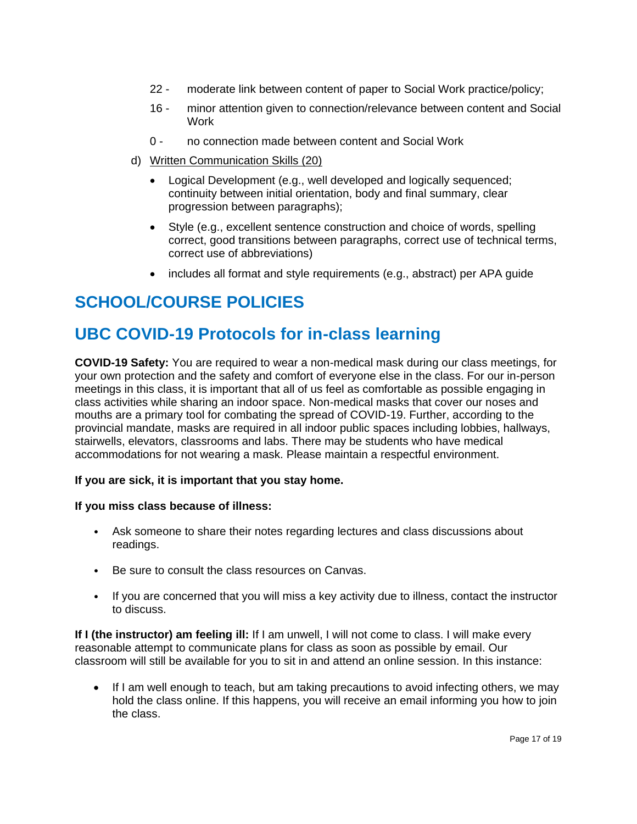- 22 moderate link between content of paper to Social Work practice/policy;
- 16 minor attention given to connection/relevance between content and Social **Work**
- 0 no connection made between content and Social Work
- d) Written Communication Skills (20)
	- Logical Development (e.g., well developed and logically sequenced; continuity between initial orientation, body and final summary, clear progression between paragraphs);
	- Style (e.g., excellent sentence construction and choice of words, spelling correct, good transitions between paragraphs, correct use of technical terms, correct use of abbreviations)
	- includes all format and style requirements (e.g., abstract) per APA guide

# **SCHOOL/COURSE POLICIES**

# **UBC COVID-19 Protocols for in-class learning**

**COVID-19 Safety:** You are required to wear a non-medical mask during our class meetings, for your own protection and the safety and comfort of everyone else in the class. For our in-person meetings in this class, it is important that all of us feel as comfortable as possible engaging in class activities while sharing an indoor space. Non-medical masks that cover our noses and mouths are a primary tool for combating the spread of COVID-19. Further, according to the provincial mandate, masks are required in all indoor public spaces including lobbies, hallways, stairwells, elevators, classrooms and labs. There may be students who have medical accommodations for not wearing a mask. Please maintain a respectful environment.

### **If you are sick, it is important that you stay home.**

### **If you miss class because of illness:**

- Ask someone to share their notes regarding lectures and class discussions about readings.
- Be sure to consult the class resources on Canvas.
- If you are concerned that you will miss a key activity due to illness, contact the instructor to discuss.

**If I (the instructor) am feeling ill:** If I am unwell, I will not come to class. I will make every reasonable attempt to communicate plans for class as soon as possible by email. Our classroom will still be available for you to sit in and attend an online session. In this instance:

• If I am well enough to teach, but am taking precautions to avoid infecting others, we may hold the class online. If this happens, you will receive an email informing you how to join the class.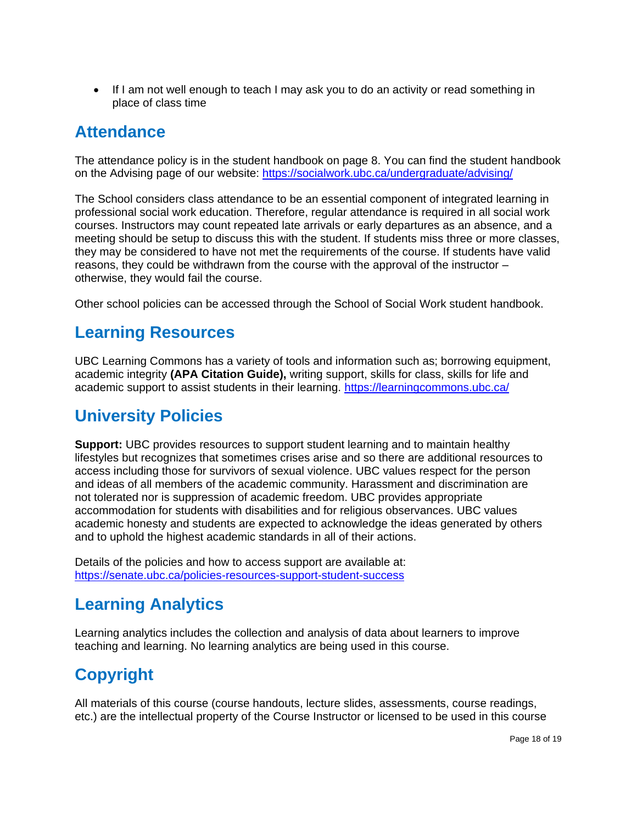• If I am not well enough to teach I may ask you to do an activity or read something in place of class time

### **Attendance**

The attendance policy is in the student handbook on page 8. You can find the student handbook on the Advising page of our website:<https://socialwork.ubc.ca/undergraduate/advising/>

The School considers class attendance to be an essential component of integrated learning in professional social work education. Therefore, regular attendance is required in all social work courses. Instructors may count repeated late arrivals or early departures as an absence, and a meeting should be setup to discuss this with the student. If students miss three or more classes, they may be considered to have not met the requirements of the course. If students have valid reasons, they could be withdrawn from the course with the approval of the instructor – otherwise, they would fail the course.

Other school policies can be accessed through the School of Social Work student handbook.

### **Learning Resources**

UBC Learning Commons has a variety of tools and information such as; borrowing equipment, academic integrity **(APA Citation Guide),** writing support, skills for class, skills for life and academic support to assist students in their learning.<https://learningcommons.ubc.ca/>

# **University Policies**

**Support:** UBC provides resources to support student learning and to maintain healthy lifestyles but recognizes that sometimes crises arise and so there are additional resources to access including those for survivors of sexual violence. UBC values respect for the person and ideas of all members of the academic community. Harassment and discrimination are not tolerated nor is suppression of academic freedom. UBC provides appropriate accommodation for students with disabilities and for religious observances. UBC values academic honesty and students are expected to acknowledge the ideas generated by others and to uphold the highest academic standards in all of their actions.

Details of the policies and how to access support are available at: <https://senate.ubc.ca/policies-resources-support-student-success>

## **Learning Analytics**

Learning analytics includes the collection and analysis of data about learners to improve teaching and learning. No learning analytics are being used in this course.

# **Copyright**

All materials of this course (course handouts, lecture slides, assessments, course readings, etc.) are the intellectual property of the Course Instructor or licensed to be used in this course